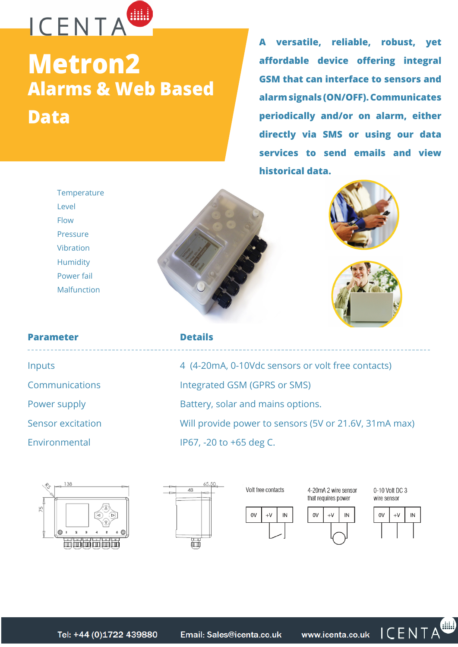

## **Metron2 Alarms & Web Based Data**

**A versatile, reliable, robust, yet affordable device offering integral GSM that can interface to sensors and alarm signals (ON/OFF). Communicates periodically and/or on alarm, either directly via SMS or using our data services to send emails and view historical data.**

**Temperature** Level Flow Pressure Vibration **Humidity** Power fail Malfunction







## **Parameter**

## **Details**

| Inputs                   |
|--------------------------|
| Communications           |
| Power supply             |
| <b>Sensor excitation</b> |
| Environmental            |
|                          |





Volt free contacts

Integrated GSM (GPRS or SMS)

IP67, -20 to +65 deg C.

Battery, solar and mains options.



4 (4-20mA, 0-10Vdc sensors or volt free contacts)

Will provide power to sensors (5V or 21.6V, 31mA max)

4-20mA 2 wire sensor that requires power